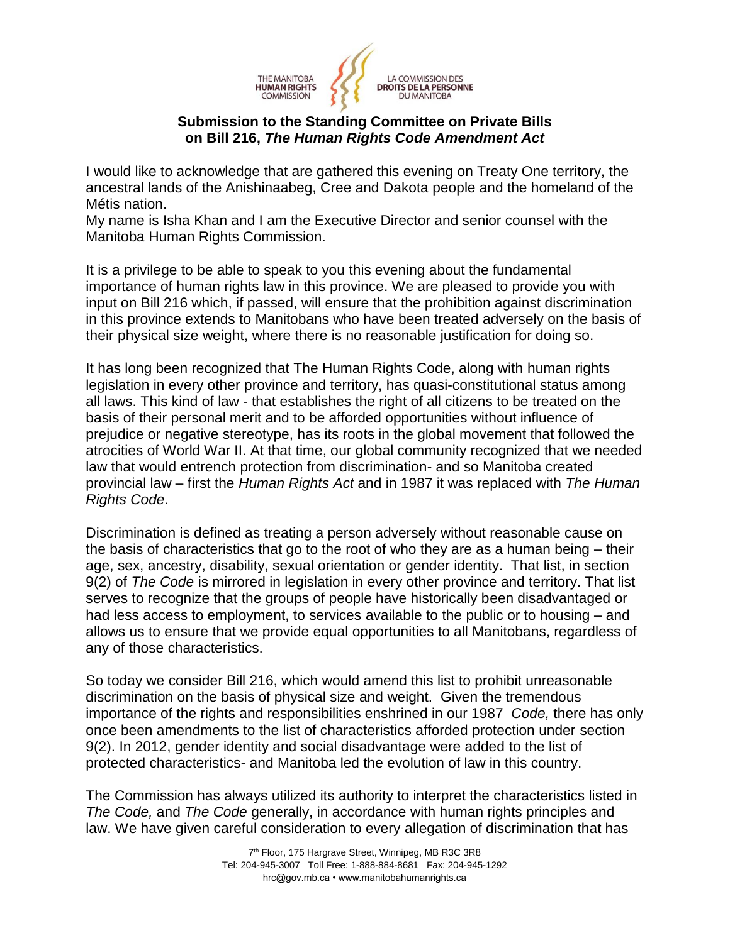

## **Submission to the Standing Committee on Private Bills on Bill 216,** *The Human Rights Code Amendment Act*

I would like to acknowledge that are gathered this evening on Treaty One territory, the ancestral lands of the Anishinaabeg, Cree and Dakota people and the homeland of the Métis nation.

My name is Isha Khan and I am the Executive Director and senior counsel with the Manitoba Human Rights Commission.

It is a privilege to be able to speak to you this evening about the fundamental importance of human rights law in this province. We are pleased to provide you with input on Bill 216 which, if passed, will ensure that the prohibition against discrimination in this province extends to Manitobans who have been treated adversely on the basis of their physical size weight, where there is no reasonable justification for doing so.

It has long been recognized that The Human Rights Code, along with human rights legislation in every other province and territory, has quasi-constitutional status among all laws. This kind of law - that establishes the right of all citizens to be treated on the basis of their personal merit and to be afforded opportunities without influence of prejudice or negative stereotype, has its roots in the global movement that followed the atrocities of World War II. At that time, our global community recognized that we needed law that would entrench protection from discrimination- and so Manitoba created provincial law – first the *Human Rights Act* and in 1987 it was replaced with *The Human Rights Code*.

Discrimination is defined as treating a person adversely without reasonable cause on the basis of characteristics that go to the root of who they are as a human being – their age, sex, ancestry, disability, sexual orientation or gender identity. That list, in section 9(2) of *The Code* is mirrored in legislation in every other province and territory. That list serves to recognize that the groups of people have historically been disadvantaged or had less access to employment, to services available to the public or to housing – and allows us to ensure that we provide equal opportunities to all Manitobans, regardless of any of those characteristics.

So today we consider Bill 216, which would amend this list to prohibit unreasonable discrimination on the basis of physical size and weight. Given the tremendous importance of the rights and responsibilities enshrined in our 1987 *Code,* there has only once been amendments to the list of characteristics afforded protection under section 9(2). In 2012, gender identity and social disadvantage were added to the list of protected characteristics- and Manitoba led the evolution of law in this country.

The Commission has always utilized its authority to interpret the characteristics listed in *The Code,* and *The Code* generally, in accordance with human rights principles and law. We have given careful consideration to every allegation of discrimination that has